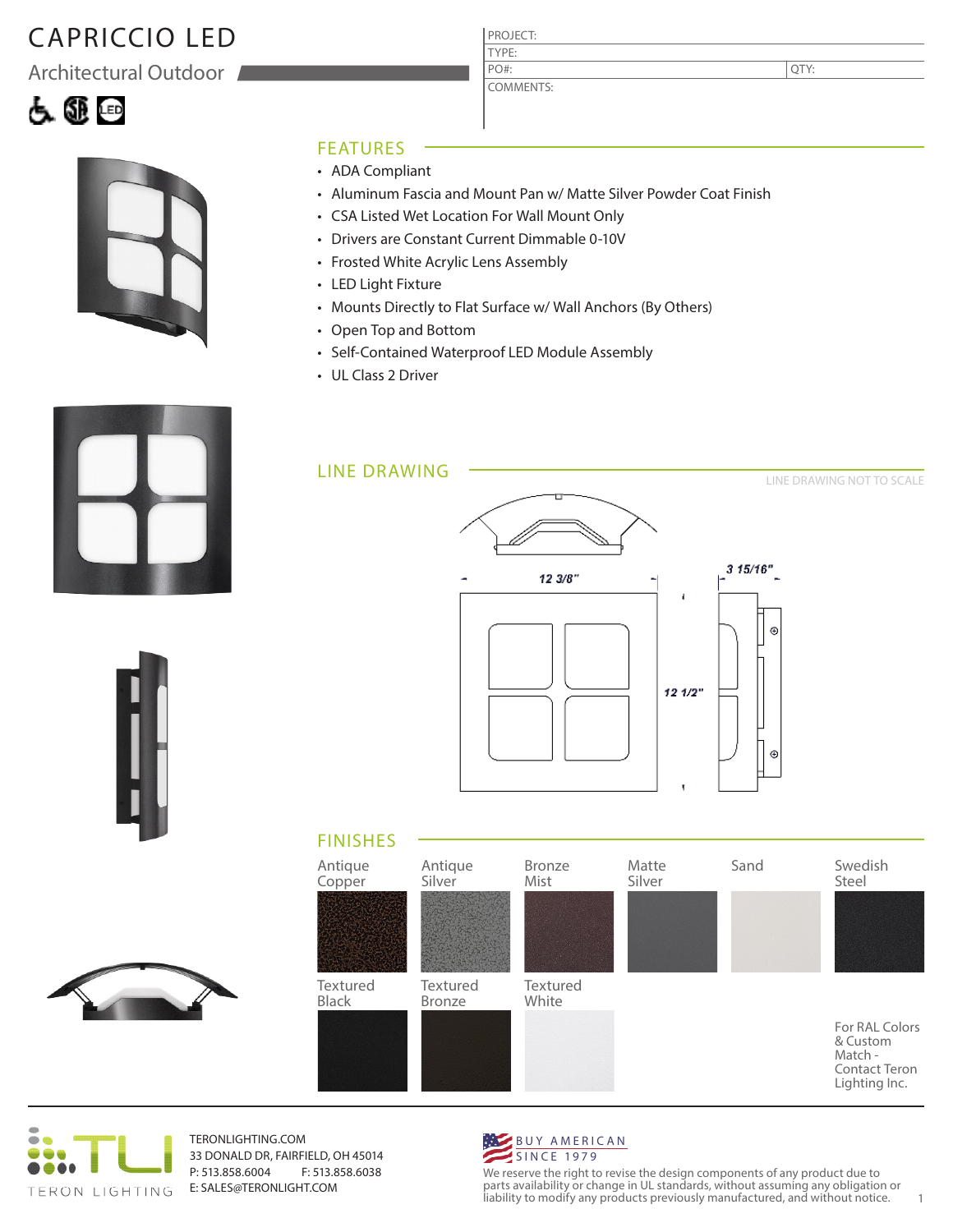# CAPRICCIO LED

Architectural Outdoor





#### FEATURES

- ADA Compliant
- Aluminum Fascia and Mount Pan w/ Matte Silver Powder Coat Finish
- CSA Listed Wet Location For Wall Mount Only
- Drivers are Constant Current Dimmable 0-10V
- Frosted White Acrylic Lens Assembly
- LED Light Fixture
- Mounts Directly to Flat Surface w/ Wall Anchors (By Others)

PROJECT: TYPE:

PO#:

COMMENTS:

- Open Top and Bottom
- Self-Contained Waterproof LED Module Assembly
- UL Class 2 Driver







TERONLIGHTING.COM 33 DONALD DR, FAIRFIELD, OH 45014 P: 513.858.6004 F: 513.858.6038 E: SALES@TERONLIGHT.COM



We reserve the right to revise the design components of any product due to parts availability or change in UL standards, without assuming any obligation or liability to modify any products previously manufactured, and without notice. 1







QTY: